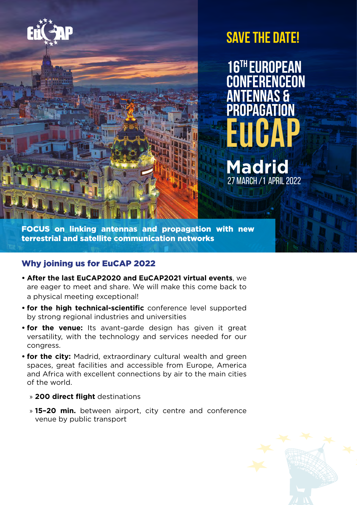

# **Save the date!**

**EuCAP 16th European Conferenceon Antennas & Propagation**

**Madrid**

27 MARCH /1 April 2022

FOCUS on linking antennas and propagation with new terrestrial and satellite communication networks

## Why joining us for EuCAP 2022

- **• After the last EuCAP2020 and EuCAP2021 virtual events**, we are eager to meet and share. We will make this come back to a physical meeting exceptional!
- **• for the high technical-scientific** conference level supported by strong regional industries and universities
- **• for the venue:** Its avant-garde design has given it great versatility, with the technology and services needed for our congress.
- **• for the city:** Madrid, extraordinary cultural wealth and green spaces, great facilities and accessible from Europe, America and Africa with excellent connections by air to the main cities of the world.
	- » **200 direct flight** destinations
	- » **15–20 min.** between airport, city centre and conference venue by public transport